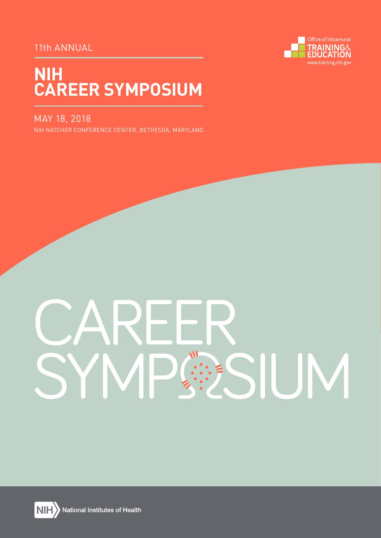# 11th ANNUAL



# **NIH CAREER SYMPOSIUM**

# MAY 18, 2018

NIH NATCHER CONFERENCE CENTER, BETHESDA, MARYLAND

# SIUM



National Institutes of Health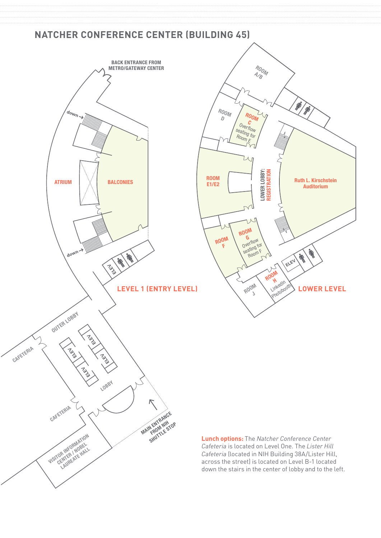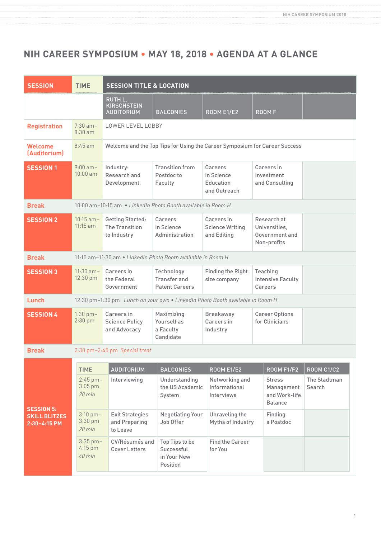# **NIH CAREER SYMPOSIUM • MAY 18, 2018 • AGENDA AT A GLANCE**

| <b>SESSION</b>                                            | <b>TIME</b>                                  | <b>SESSION TITLE &amp; LOCATION</b>                                           |                                                            |                                                     |                                                                |                        |  |
|-----------------------------------------------------------|----------------------------------------------|-------------------------------------------------------------------------------|------------------------------------------------------------|-----------------------------------------------------|----------------------------------------------------------------|------------------------|--|
|                                                           |                                              | <b>RUTH L.</b><br><b>KIRSCHSTEIN</b><br><b>AUDITORIUM</b>                     | <b>BALCONIES</b>                                           | <b>ROOM E1/E2</b>                                   | <b>ROOMF</b>                                                   |                        |  |
| <b>Registration</b>                                       | $7:30$ am-<br>$8:30$ am                      | LOWER LEVEL LOBBY                                                             |                                                            |                                                     |                                                                |                        |  |
| Welcome<br>(Auditorium)                                   | $8:45$ am                                    | Welcome and the Top Tips for Using the Career Symposium for Career Success    |                                                            |                                                     |                                                                |                        |  |
| <b>SESSION 1</b>                                          | $9:00$ am-<br>$10:00$ am                     | Industry:<br>Research and<br>Development                                      | <b>Transition from</b><br>Postdoc to<br>Faculty            | Careers<br>in Science<br>Education<br>and Outreach  | Careers in<br>Investment<br>and Consulting                     |                        |  |
| <b>Break</b>                                              |                                              | 10:00 am-10:15 am • LinkedIn Photo Booth available in Room H                  |                                                            |                                                     |                                                                |                        |  |
| <b>SESSION 2</b>                                          | $10:15$ am-<br>$11:15$ am                    | <b>Getting Started:</b><br>The Transition<br>to Industry                      | Careers<br>in Science<br>Administration                    | Careers in<br><b>Science Writing</b><br>and Editing | Research at<br>Universities,<br>Government and<br>Non-profits  |                        |  |
| <b>Break</b>                                              |                                              | 11:15 am-11:30 am • LinkedIn Photo Booth available in Room H                  |                                                            |                                                     |                                                                |                        |  |
| <b>SESSION 3</b>                                          | $11:30$ am-<br>12:30 pm                      | Careers in<br>the Federal<br>Government                                       | Technology<br><b>Transfer and</b><br><b>Patent Careers</b> | <b>Finding the Right</b><br>size company            | Teaching<br><b>Intensive Faculty</b><br>Careers                |                        |  |
| Lunch                                                     |                                              | 12:30 pm-1:30 pm Lunch on your own . LinkedIn Photo Booth available in Room H |                                                            |                                                     |                                                                |                        |  |
| <b>SESSION 4</b>                                          | $1:30$ pm $-$<br>2:30 pm                     | Careers in<br><b>Science Policy</b><br>and Advocacy                           | Maximizing<br>Yourself as<br>a Faculty<br>Candidate        | <b>Breakaway</b><br>Careers in<br>Industry          | <b>Career Options</b><br>for Clinicians                        |                        |  |
| <b>Break</b>                                              |                                              | 2:30 pm-2:45 pm Special treat                                                 |                                                            |                                                     |                                                                |                        |  |
|                                                           | <b>TIME</b>                                  | <b>AUDITORIUM</b>                                                             | <b>BALCONIES</b>                                           | <b>ROOM E1/E2</b>                                   | <b>ROOM F1/F2</b>                                              | <b>ROOM C1/C2</b>      |  |
| <b>SESSION 5:</b><br><b>SKILL BLITZES</b><br>2:30-4:15 PM | $2:45$ pm-<br>$3:05$ pm<br>$20 \text{ min}$  | Interviewing                                                                  | Understanding<br>the US Academic<br>System                 | Networking and<br>Informational<br>Interviews       | <b>Stress</b><br>Management<br>and Work-life<br><b>Balance</b> | The Stadtman<br>Search |  |
|                                                           | $3:10$ pm $-$<br>3:30 pm<br>$20 \text{ min}$ | <b>Exit Strategies</b><br>and Preparing<br>to Leave                           | <b>Negotiating Your</b><br>Job Offer                       | Unraveling the<br>Myths of Industry                 | Finding<br>a Postdoc                                           |                        |  |
|                                                           | $3:35$ pm-<br>4:15 pm<br>40 min              | CV/Résumés and<br><b>Cover Letters</b>                                        | Top Tips to be<br>Successful<br>in Your New<br>Position    | <b>Find the Career</b><br>for You                   |                                                                |                        |  |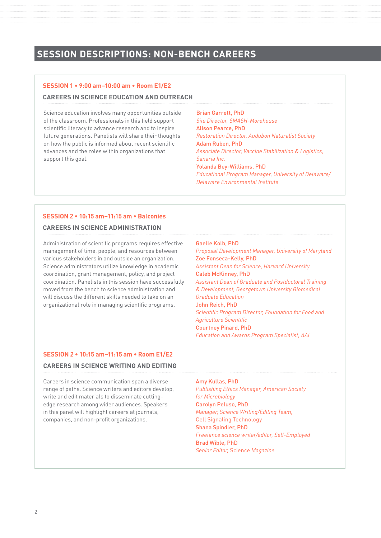# **SESSION DESCRIPTIONS: NON-BENCH CAREERS**

### **SESSION 1 • 9:00 am–10:00 am • Room E1/E2**

### **CAREERS IN SCIENCE EDUCATION AND OUTREACH**

Science education involves many opportunities outside of the classroom. Professionals in this field support scientific literacy to advance research and to inspire future generations. Panelists will share their thoughts on how the public is informed about recent scientific advances and the roles within organizations that support this goal.

Brian Garrett, PhD *Site Director, SMASH-Morehouse* Alison Pearce, PhD *Restoration Director, Audubon Naturalist Society* Adam Ruben, PhD *Associate Director, Vaccine Stabilization & Logistics, Sanaria Inc.* Yolanda Bey-Williams, PhD *Educational Program Manager, University of Delaware/ Delaware Environmental Institute*

### **SESSION 2 • 10:15 am–11:15 am • Balconies**

### **CAREERS IN SCIENCE ADMINISTRATION**

Administration of scientific programs requires effective management of time, people, and resources between various stakeholders in and outside an organization. Science administrators utilize knowledge in academic coordination, grant management, policy, and project coordination. Panelists in this session have successfully moved from the bench to science administration and will discuss the different skills needed to take on an organizational role in managing scientific programs.

### Gaelle Kolb, PhD

*Proposal Development Manager, University of Maryland* Zoe Fonseca-Kelly, PhD *Assistant Dean for Science, Harvard University* Caleb McKinney, PhD *Assistant Dean of Graduate and Postdoctoral Training & Development, Georgetown University Biomedical Graduate Education*  John Reich, PhD *Scientific Program Director, Foundation for Food and Agriculture Scientific* Courtney Pinard, PhD *Education and Awards Program Specialist, AAI*

### **SESSION 2 • 10:15 am–11:15 am • Room E1/E2**

### **CAREERS IN SCIENCE WRITING AND EDITING**

Careers in science communication span a diverse range of paths. Science writers and editors develop, write and edit materials to disseminate cuttingedge research among wider audiences. Speakers in this panel will highlight careers at journals, companies, and non-profit organizations.

### Amy Kullas, PhD

*Publishing Ethics Manager, American Society for Microbiology* Carolyn Peluso, PhD *Manager, Science Writing/Editing Team,*  Cell Signaling Technology Shana Spindler, PhD *Freelance science writer/editor, Self-Employed* Brad Wible, PhD *Senior Editor,* Science *Magazine*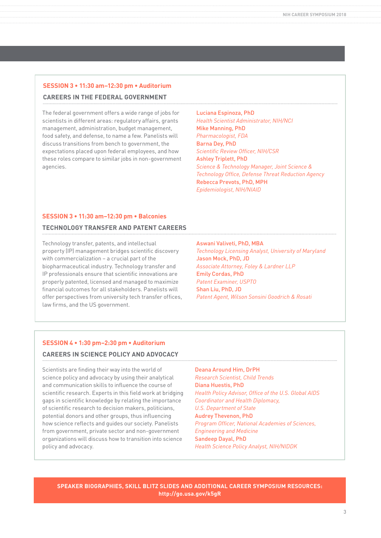### **SESSION 3 • 11:30 am–12:30 pm • Auditorium CAREERS IN THE FEDERAL GOVERNMENT**

The federal government offers a wide range of jobs for scientists in different areas: regulatory affairs, grants management, administration, budget management, food safety, and defense, to name a few. Panelists will discuss transitions from bench to government, the expectations placed upon federal employees, and how these roles compare to similar jobs in non-government agencies.

Luciana Espinoza, PhD *Health Scientist Administrator, NIH/NCI* Mike Manning, PhD *Pharmacologist, FDA* Barna Dey, PhD *Scientific Review Officer, NIH/CSR* Ashley Triplett, PhD *Science & Technology Manager, Joint Science & Technology Office, Defense Threat Reduction Agency* Rebecca Prevots, PhD, MPH *Epidemiologist, NIH/NIAID*

### **SESSION 3 • 11:30 am–12:30 pm • Balconies**

### **TECHNOLOGY TRANSFER AND PATENT CAREERS**

Technology transfer, patents, and intellectual property (IP) management bridges scientific discovery with commercialization – a crucial part of the biopharmaceutical industry. Technology transfer and IP professionals ensure that scientific innovations are properly patented, licensed and managed to maximize financial outcomes for all stakeholders. Panelists will offer perspectives from university tech transfer offices, law firms, and the US government.

### Aswani Valiveti, PhD, MBA

*Technology Licensing Analyst, University of Maryland* Jason Mock, PhD, JD *Associate Attorney, Foley & Lardner LLP* Emily Cordas, PhD *Patent Examiner, USPTO* Shan Liu, PhD, JD *Patent Agent, Wilson Sonsini Goodrich & Rosati*

### **SESSION 4 • 1:30 pm–2:30 pm • Auditorium**

### **CAREERS IN SCIENCE POLICY AND ADVOCACY**

Scientists are finding their way into the world of science policy and advocacy by using their analytical and communication skills to influence the course of scientific research. Experts in this field work at bridging gaps in scientific knowledge by relating the importance of scientific research to decision makers, politicians, potential donors and other groups, thus influencing how science reflects and guides our society. Panelists from government, private sector and non-government organizations will discuss how to transition into science policy and advocacy.

Deana Around Him, DrPH *Research Scientist, Child Trends* Diana Huestis, PhD *Health Policy Advisor, Office of the U.S. Global AIDS Coordinator and Health Diplomacy, U.S. Department of State* Audrey Thevenon, PhD *Program Officer, National Academies of Sciences, Engineering and Medicine* Sandeep Dayal, PhD *Health Science Policy Analyst, NIH/NIDDK*

**SPEAKER BIOGRAPHIES, SKILL BLITZ SLIDES AND ADDITIONAL CAREER SYMPOSIUM RESOURCES: http://go.usa.gov/k5gR**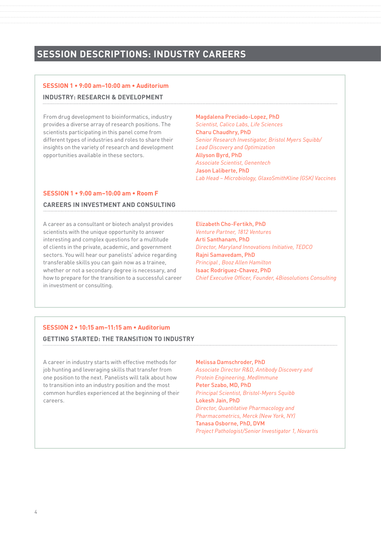# **SESSION DESCRIPTIONS: INDUSTRY CAREERS**

### **SESSION 1 • 9:00 am–10:00 am • Auditorium**

### **INDUSTRY: RESEARCH & DEVELOPMENT**

From drug development to bioinformatics, industry provides a diverse array of research positions. The scientists participating in this panel come from different types of industries and roles to share their insights on the variety of research and development opportunities available in these sectors.

### Magdalena Preciado-Lopez, PhD

*Scientist, Calico Labs, Life Sciences* Charu Chaudhry, PhD *Senior Research Investigator, Bristol Myers Squibb/ Lead Discovery and Optimization* Allyson Byrd, PhD *Associate Scientist, Genentech* Jason Laliberte, PhD *Lab Head – Microbiology, GlaxoSmithKline (GSK) Vaccines*

### **SESSION 1 • 9:00 am–10:00 am • Room F**

### **CAREERS IN INVESTMENT AND CONSULTING**

A career as a consultant or biotech analyst provides scientists with the unique opportunity to answer interesting and complex questions for a multitude of clients in the private, academic, and government sectors. You will hear our panelists' advice regarding transferable skills you can gain now as a trainee, whether or not a secondary degree is necessary, and how to prepare for the transition to a successful career in investment or consulting.

### Elizabeth Cho-Fertikh, PhD

*Venture Partner, 1812 Ventures* Arti Santhanam, PhD *Director, Maryland Innovations Initiative, TEDCO* Rajni Samavedam, PhD *Principal , Booz Allen Hamilton* Isaac Rodriguez-Chavez, PhD *Chief Executive Officer, Founder, 4Biosolutions Consulting*

### **SESSION 2 • 10:15 am–11:15 am • Auditorium**

### **GETTING STARTED: THE TRANSITION TO INDUSTRY**

A career in industry starts with effective methods for job hunting and leveraging skills that transfer from one position to the next. Panelists will talk about how to transition into an industry position and the most common hurdles experienced at the beginning of their careers.

Melissa Damschroder, PhD *Associate Director R&D, Antibody Discovery and Protein Engineering, MedImmune* Peter Szabo, MD, PhD *Principal Scientist, Bristol-Myers Squibb* Lokesh Jain, PhD *Director, Quantitative Pharmacology and Pharmacometrics, Merck (New York, NY)* Tanasa Osborne, PhD, DVM *Project Pathologist/Senior Investigator 1, Novartis*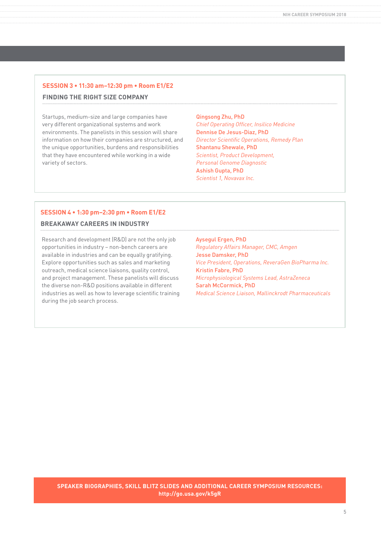### **SESSION 3 • 11:30 am–12:30 pm • Room E1/E2 FINDING THE RIGHT SIZE COMPANY**

Startups, medium-size and large companies have very different organizational systems and work environments. The panelists in this session will share information on how their companies are structured, and the unique opportunities, burdens and responsibilities that they have encountered while working in a wide variety of sectors.

Qingsong Zhu, PhD *Chief Operating Officer, Insilico Medicine* Dennise De Jesus-Diaz, PhD *Director Scientific Operations, Remedy Plan* Shantanu Shewale, PhD *Scientist, Product Development, Personal Genome Diagnostic* Ashish Gupta, PhD *Scientist 1, Novavax Inc.*

### **SESSION 4 • 1:30 pm–2:30 pm • Room E1/E2**

### **BREAKAWAY CAREERS IN INDUSTRY**

Research and development (R&D) are not the only job opportunities in industry – non-bench careers are available in industries and can be equally gratifying. Explore opportunities such as sales and marketing outreach, medical science liaisons, quality control, and project management. These panelists will discuss the diverse non-R&D positions available in different industries as well as how to leverage scientific training during the job search process.

Aysegul Ergen, PhD *Regulatory Affairs Manager, CMC, Amgen* Jesse Damsker, PhD *Vice President, Operations, ReveraGen BioPharma Inc.* Kristin Fabre, PhD *Microphysiological Systems Lead, AstraZeneca* Sarah McCormick, PhD *Medical Science Liaison, Mallinckrodt Pharmaceuticals*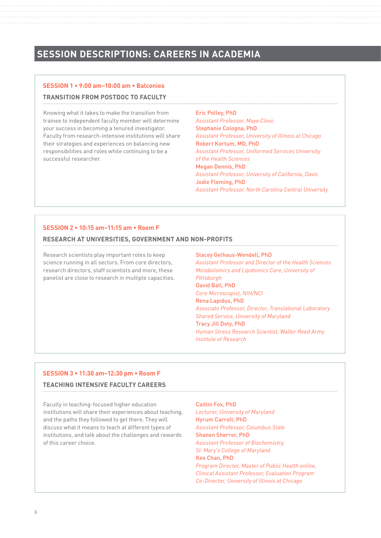# **SESSION DESCRIPTIONS: CAREERS IN ACADEMIA**

## **SESSION 1 • 9:00 am–10:00 am • Balconies**

### **TRANSITION FROM POSTDOC TO FACULTY**

Knowing what it takes to make the transition from trainee to independent faculty member will determine your success in becoming a tenured investigator. Faculty from research-intensive institutions will share their strategies and experiences on balancing new responsibilities and roles while continuing to be a successful researcher.

Eric Polley, PhD *Assistant Professor, Mayo Clinic* Stephanie Cologna, PhD *Assistant Professor, University of Illinois at Chicago* Robert Kortum, MD, PhD *Assistant Professor, Uniformed Services University of the Health Sciences* Megan Dennis, PhD *Assistant Professor, University of California, Davis* Jodie Fleming, PhD *Assistant Professor, North Carolina Central University*

### **SESSION 2 • 10:15 am–11:15 am • Room F**

### **RESEARCH AT UNIVERSITIES, GOVERNMENT AND NON-PROFITS**

Research scientists play important roles to keep science running in all sectors. From core directors, research directors, staff scientists and more, these panelist are close to research in multiple capacities.

### Stacey Gelhaus-Wendell, PhD

*Assistant Professor and Director of the Health Sciences Metabolomics and Lipidomics Core, University of Pittsburgh* David Ball, PhD *Core Microscopist, NIH/NCI* Rena Lapidus, PhD *Associate Professor, Director, Translational Laboratory Shared Service, University of Maryland* Tracy Jill Doty, PhD *Human Stress Research Scientist, Walter Reed Army Institute of Research*

### **SESSION 3 • 11:30 am–12:30 pm • Room F**

### **TEACHING INTENSIVE FACULTY CAREERS**

Faculty in teaching-focused higher education institutions will share their experiences about teaching, and the paths they followed to get there. They will discuss what it means to teach at different types of institutions, and talk about the challenges and rewards of this career choice.

### Caitlin Fox, PhD

*Lecturer, University of Maryland* Hyrum Carroll, PhD *Assistant Professor, Columbus State* Shanen Sherrer, PhD *Assistant Professor of Biochemistry, St. Mary's College of Maryland* Kee Chan, PhD *Program Director, Master of Public Health online, Clinical Assistant Professor, Evaluation Program Co-Director, University of Illinois at Chicago*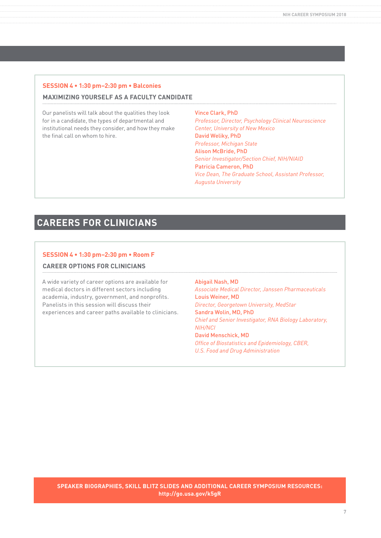### **SESSION 4 • 1:30 pm–2:30 pm • Balconies MAXIMIZING YOURSELF AS A FACULTY CANDIDATE**

Our panelists will talk about the qualities they look for in a candidate, the types of departmental and institutional needs they consider, and how they make the final call on whom to hire.

Vince Clark, PhD *Professor, Director, Psychology Clinical Neuroscience Center, University of New Mexico* David Weliky, PhD *Professor, Michigan State* Alison McBride, PhD *Senior Investigator/Section Chief, NIH/NIAID* Patricia Cameron, PhD *Vice Dean, The Graduate School, Assistant Professor, Augusta University*

# **CAREERS FOR CLINICIANS**

### **SESSION 4 • 1:30 pm–2:30 pm • Room F**

### **CAREER OPTIONS FOR CLINICIANS**

A wide variety of career options are available for medical doctors in different sectors including academia, industry, government, and nonprofits. Panelists in this session will discuss their experiences and career paths available to clinicians. Abigail Nash, MD *Associate Medical Director, Janssen Pharmaceuticals* Louis Weiner, MD *Director, Georgetown University, MedStar* Sandra Wolin, MD, PhD *Chief and Senior Investigator, RNA Biology Laboratory, NIH/NCI* David Menschick, MD *Office of Biostatistics and Epidemiology, CBER, U.S. Food and Drug Administration*

**SPEAKER BIOGRAPHIES, SKILL BLITZ SLIDES AND ADDITIONAL CAREER SYMPOSIUM RESOURCES: http://go.usa.gov/k5gR**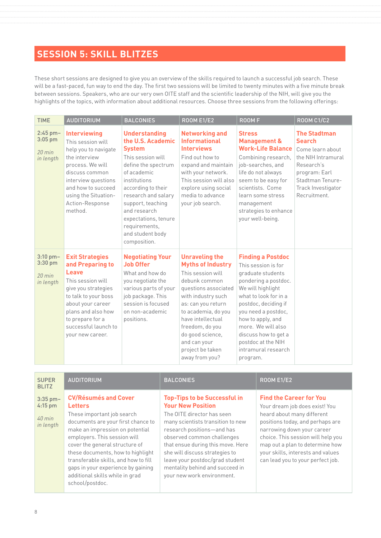# **SESSION 5: SKILL BLITZES**

These short sessions are designed to give you an overview of the skills required to launch a successful job search. These will be a fast-paced, fun way to end the day. The first two sessions will be limited to twenty minutes with a five minute break between sessions. Speakers, who are our very own OITE staff and the scientific leadership of the NIH, will give you the highlights of the topics, with information about additional resources. Choose three sessions from the following offerings:

| <b>TIME</b>                                    | <b>AUDITORIUM</b>                                                                                                                                                                                                                  | <b>BALCONIES</b>                                                                                                                                                                                                                                                                                     | <b>ROOM E1/E2</b>                                                                                                                                                                                                                                                                                    | <b>ROOMF</b>                                                                                                                                                                                                                                                                                                          | <b>ROOM C1/C2</b>                                                                                                                                                       |
|------------------------------------------------|------------------------------------------------------------------------------------------------------------------------------------------------------------------------------------------------------------------------------------|------------------------------------------------------------------------------------------------------------------------------------------------------------------------------------------------------------------------------------------------------------------------------------------------------|------------------------------------------------------------------------------------------------------------------------------------------------------------------------------------------------------------------------------------------------------------------------------------------------------|-----------------------------------------------------------------------------------------------------------------------------------------------------------------------------------------------------------------------------------------------------------------------------------------------------------------------|-------------------------------------------------------------------------------------------------------------------------------------------------------------------------|
| 2:45 pm-<br>$3:05$ pm<br>$20$ min<br>in length | <b>Interviewing</b><br>This session will<br>help you to navigate<br>the interview<br>process. We will<br>discuss common<br>interview questions<br>and how to succeed<br>using the Situation-<br>Action-Response<br>method.         | <b>Understanding</b><br>the U.S. Academic<br><b>System</b><br>This session will<br>define the spectrum<br>of academic<br>institutions<br>according to their<br>research and salary<br>support, teaching<br>and research<br>expectations, tenure<br>requirements,<br>and student body<br>composition. | <b>Networking and</b><br><b>Informational</b><br><b>Interviews</b><br>Find out how to<br>expand and maintain<br>with your network.<br>This session will also<br>explore using social<br>media to advance<br>your job search.                                                                         | <b>Stress</b><br><b>Management &amp;</b><br><b>Work-Life Balance</b><br>Combining research,<br>job-searches, and<br>life do not always<br>seem to be easy for<br>scientists. Come<br>learn some stress<br>management<br>strategies to enhance<br>your well-being.                                                     | <b>The Stadtman</b><br><b>Search</b><br>Come learn about<br>the NIH Intramural<br>Research's<br>program: Earl<br>Stadtman Tenure-<br>Track Investigator<br>Recruitment. |
| 3:10 pm-<br>3:30 pm<br>$20$ min<br>in length   | <b>Exit Strategies</b><br>and Preparing to<br>Leave<br>This session will<br>give you strategies<br>to talk to your boss<br>about your career<br>plans and also how<br>to prepare for a<br>successful launch to<br>your new career. | <b>Negotiating Your</b><br><b>Job Offer</b><br>What and how do<br>you negotiate the<br>various parts of your<br>job package. This<br>session is focused<br>on non-academic<br>positions.                                                                                                             | <b>Unraveling the</b><br><b>Myths of Industry</b><br>This session will<br>debunk common<br>questions associated<br>with industry such<br>as: can you return<br>to academia, do you<br>have intellectual<br>freedom, do you<br>do good science,<br>and can your<br>project be taken<br>away from you? | <b>Finding a Postdoc</b><br>This session is for<br>graduate students<br>pondering a postdoc.<br>We will highlight<br>what to look for in a<br>postdoc, deciding if<br>you need a postdoc,<br>how to apply, and<br>more. We will also<br>discuss how to get a<br>postdoc at the NIH<br>intramural research<br>program. |                                                                                                                                                                         |

| <b>SUPER</b><br><b>BLITZ</b>                     | <b>AUDITORIUM</b>                                                                                                                                                                                                                                                                                                                                                                               | <b>BALCONIES</b>                                                                                                                                                                                                                                                                                                                                                          | <b>ROOM E1/E2</b>                                                                                                                                                                                                                                                                                                   |
|--------------------------------------------------|-------------------------------------------------------------------------------------------------------------------------------------------------------------------------------------------------------------------------------------------------------------------------------------------------------------------------------------------------------------------------------------------------|---------------------------------------------------------------------------------------------------------------------------------------------------------------------------------------------------------------------------------------------------------------------------------------------------------------------------------------------------------------------------|---------------------------------------------------------------------------------------------------------------------------------------------------------------------------------------------------------------------------------------------------------------------------------------------------------------------|
| $3:35$ pm-<br>$4:15$ pm<br>$40$ min<br>in length | <b>CV/Résumés and Cover</b><br><b>Letters</b><br>These important job search<br>documents are your first chance to<br>make an impression on potential<br>employers. This session will<br>cover the general structure of<br>these documents, how to highlight<br>transferable skills, and how to fill<br>gaps in your experience by gaining<br>additional skills while in grad<br>school/postdoc. | <b>Top-Tips to be Successful in</b><br><b>Your New Position</b><br>The OITE director has seen<br>many scientists transition to new<br>research positions-and has<br>observed common challenges<br>that ensue during this move. Here<br>she will discuss strategies to<br>leave your postdoc/grad student<br>mentality behind and succeed in<br>your new work environment. | <b>Find the Career for You</b><br>Your dream job does exist! You<br>heard about many different<br>positions today, and perhaps are<br>narrowing down your career<br>choice. This session will help you<br>map out a plan to determine how<br>your skills, interests and values<br>can lead you to your perfect job. |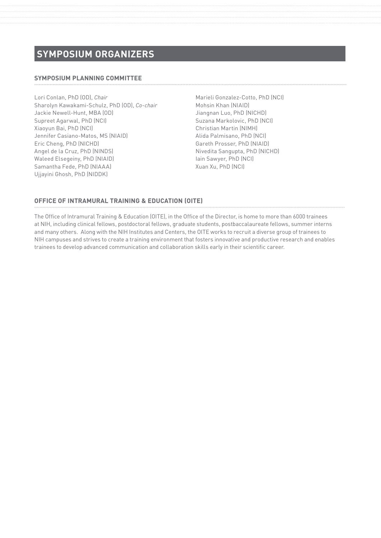# **SYMPOSIUM ORGANIZERS**

### **SYMPOSIUM PLANNING COMMITTEE**

Lori Conlan, PhD (OD), *Chair* Sharolyn Kawakami-Schulz, PhD (OD), *Co-chair* Jackie Newell-Hunt, MBA (OD) Supreet Agarwal, PhD (NCI) Xiaoyun Bai, PhD (NCI) Jennifer Casiano-Matos, MS (NIAID) Eric Cheng, PhD (NICHD) Angel de la Cruz, PhD (NINDS) Waleed Elsegeiny, PhD (NIAID) Samantha Fede, PhD (NIAAA) Ujjayini Ghosh, PhD (NIDDK)

Marieli Gonzalez-Cotto, PhD (NCI) Mohsin Khan (NIAID) Jiangnan Luo, PhD (NICHD) Suzana Markolovic, PhD (NCI) Christian Martin (NIMH) Alida Palmisano, PhD (NCI) Gareth Prosser, PhD (NIAID) Nivedita Sangupta, PhD (NICHD) Iain Sawyer, PhD (NCI) Xuan Xu, PhD (NCI)

### **OFFICE OF INTRAMURAL TRAINING & EDUCATION (OITE)**

The Office of Intramural Training & Education (OITE), in the Office of the Director, is home to more than 6000 trainees at NIH, including clinical fellows, postdoctoral fellows, graduate students, postbaccalaureate fellows, summer interns and many others. Along with the NIH Institutes and Centers, the OITE works to recruit a diverse group of trainees to NIH campuses and strives to create a training environment that fosters innovative and productive research and enables trainees to develop advanced communication and collaboration skills early in their scientific career.